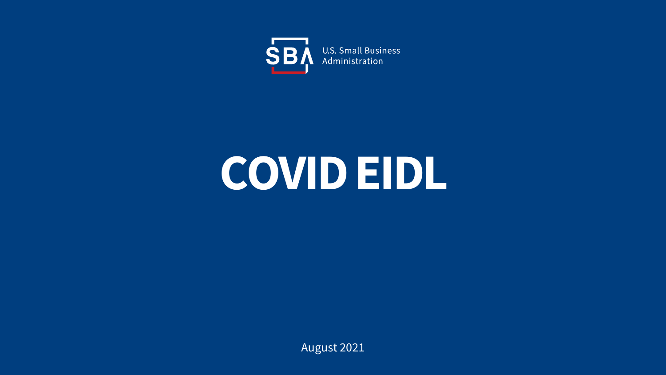

# **COVID EIDL**

August 2021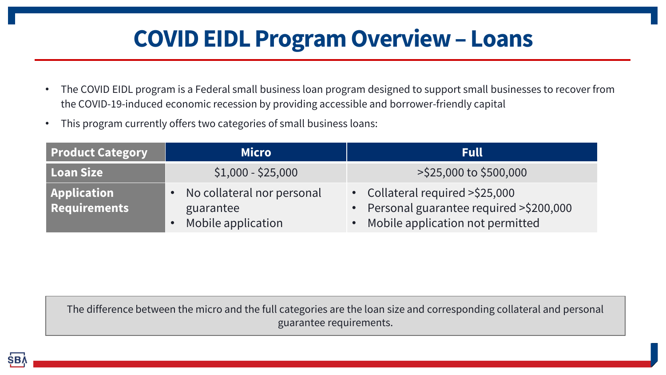# **COVID EIDL Program Overview – Loans**

- The COVID EIDL program is a Federal small business loan program designed to support small businesses to recover from the COVID-19-induced economic recession by providing accessible and borrower-friendly capital
- This program currently offers two categories of small business loans:

| <b>Product Category</b>                   | <b>Micro</b>                                                  | <b>Full</b>                                                                                                        |
|-------------------------------------------|---------------------------------------------------------------|--------------------------------------------------------------------------------------------------------------------|
| Loan Size                                 | $$1,000 - $25,000$                                            | >\$25,000 to \$500,000                                                                                             |
| <b>Application</b><br><b>Requirements</b> | No collateral nor personal<br>guarantee<br>Mobile application | • Collateral required > \$25,000<br>• Personal guarantee required >\$200,000<br>• Mobile application not permitted |

The difference between the micro and the full categories are the loan size and corresponding collateral and personal guarantee requirements.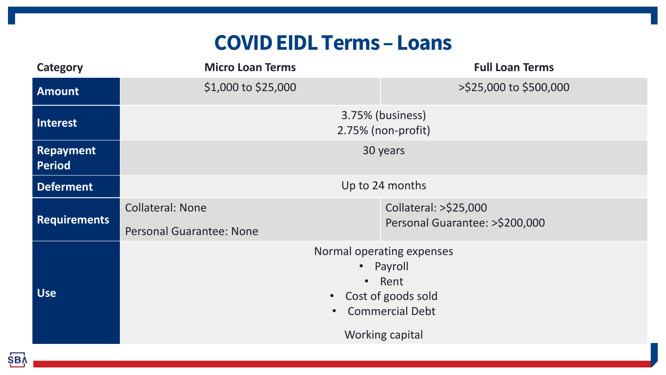### **COVID EIDL Terms – Loans**

| <b>Category</b>            | <b>Micro Loan Terms</b>                                                                                                                                | <b>Full Loan Terms</b>                                  |  |
|----------------------------|--------------------------------------------------------------------------------------------------------------------------------------------------------|---------------------------------------------------------|--|
| <b>Amount</b>              | \$1,000 to \$25,000                                                                                                                                    | >\$25,000 to \$500,000                                  |  |
| Interest                   | 3.75% (business)<br>2.75% (non-profit)                                                                                                                 |                                                         |  |
| Repayment<br><b>Period</b> | 30 years                                                                                                                                               |                                                         |  |
| <b>Deferment</b>           | Up to 24 months                                                                                                                                        |                                                         |  |
| <b>Requirements</b>        | <b>Collateral: None</b><br><b>Personal Guarantee: None</b>                                                                                             | Collateral: >\$25,000<br>Personal Guarantee: >\$200,000 |  |
| <b>Use</b>                 | Normal operating expenses<br>Payroll<br>$\bullet$<br>Rent<br>$\bullet$<br>Cost of goods sold<br>$\bullet$<br><b>Commercial Debt</b><br>Working capital |                                                         |  |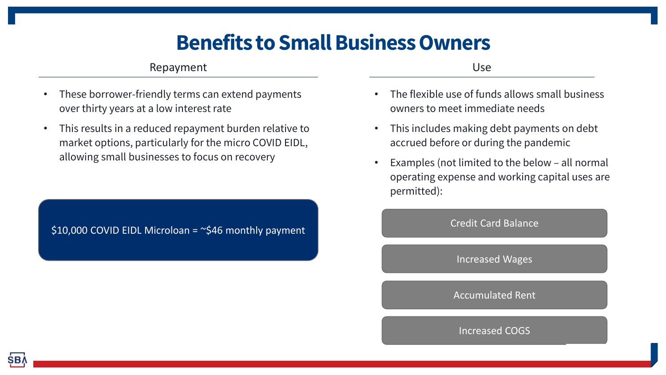### **Benefits to Small Business Owners**

#### Repayment

- These borrower-friendly terms can extend payments over thirty years at a low interest rate
- This results in a reduced repayment burden relative to market options, particularly for the micro COVID EIDL, allowing small businesses to focus on recovery

\$10,000 COVID EIDL Microloan =  $\approx$ \$46 monthly payment

Use

- The flexible use of funds allows small business owners to meet immediate needs
- This includes making debt payments on debt accrued before or during the pandemic
- Examples (not limited to the below all normal operating expense and working capital uses are permitted):

Credit Card Balance

Increased Wages

Accumulated Rent

Increased COGS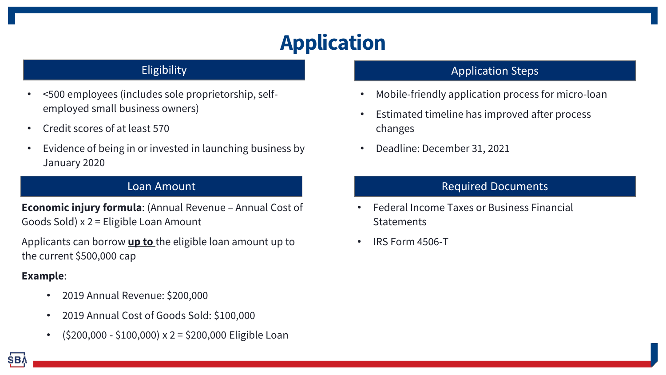# **Application**

#### **Eligibility**

- <500 employees (includes sole proprietorship, selfemployed small business owners)
- Credit scores of at least 570
- Evidence of being in or invested in launching business by January 2020

#### Loan Amount

**Economic injury formula**: (Annual Revenue – Annual Cost of Goods Sold) x 2 = Eligible Loan Amount

Applicants can borrow **up to** the eligible loan amount up to the current \$500,000 cap

#### **Example**:

- 2019 Annual Revenue: \$200,000
- 2019 Annual Cost of Goods Sold: \$100,000
- $(5200,000 5100,000) \times 2 = 5200,000$  Eligible Loan

#### Application Steps

- Mobile-friendly application process for micro-loan
- Estimated timeline has improved after process changes
- Deadline: December 31, 2021

#### Required Documents

- Federal Income Taxes or Business Financial **Statements**
- IRS Form 4506-T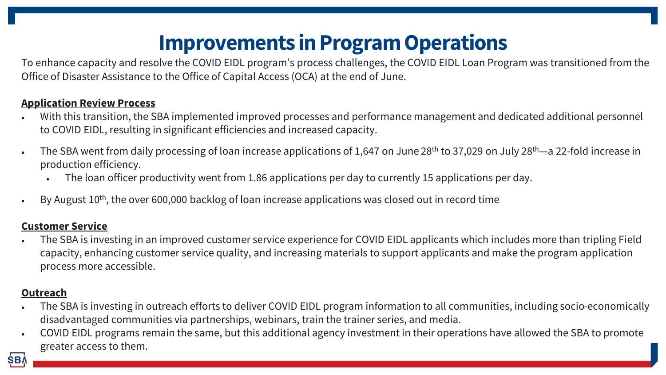# **Improvements in Program Operations**

To enhance capacity and resolve the COVID EIDL program's process challenges, the COVID EIDL Loan Program was transitioned from the Office of Disaster Assistance to the Office of Capital Access (OCA) at the end of June.

#### **Application Review Process**

- With this transition, the SBA implemented improved processes and performance management and dedicated additional personnel to COVID EIDL, resulting in significant efficiencies and increased capacity.
- The SBA went from daily processing of loan increase applications of 1,647 on June 28<sup>th</sup> to 37,029 on July 28<sup>th</sup>—a 22-fold increase in production efficiency.
	- The loan officer productivity went from 1.86 applications per day to currently 15 applications per day.
- By August  $10^{th}$ , the over 600,000 backlog of loan increase applications was closed out in record time

#### **Customer Service**

• The SBA is investing in an improved customer service experience for COVID EIDL applicants which includes more than tripling Field capacity, enhancing customer service quality, and increasing materials to support applicants and make the program application process more accessible.

#### **Outreach**

- The SBA is investing in outreach efforts to deliver COVID EIDL program information to all communities, including socio-economically disadvantaged communities via partnerships, webinars, train the trainer series, and media.
- COVID EIDL programs remain the same, but this additional agency investment in their operations have allowed the SBA to promote greater access to them.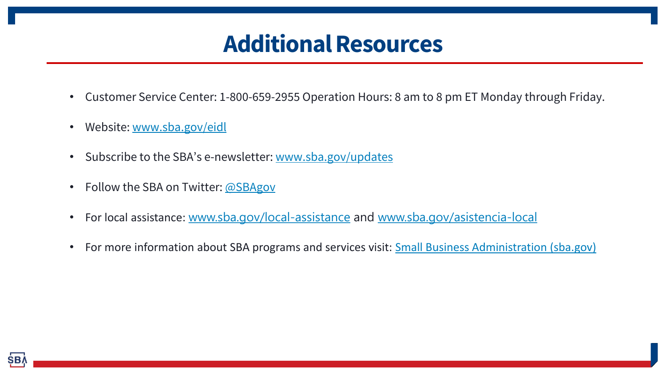# **Additional Resources**

- Customer Service Center: 1-800-659-2955 Operation Hours: 8 am to 8 pm ET Monday through Friday.
- Website: [www.sba.gov/eidl](http://www.sba.gov/eidl)
- Subscribe to the SBA's e-newsletter: [www.sba.gov/updates](http://www.sba.gov/updates)
- Follow the SBA on Twitter: [@SBAgov](https://twitter.com/sbagov)
- For local assistance: [www.sba.gov/local-assistance](http://www.sba.gov/local-assistance) and [www.sba.gov/asistencia-local](https://www.sba.gov/asistencia-local)
- For more information about SBA programs and services visit: [Small Business Administration \(sba.gov\)](https://www.sba.gov/)